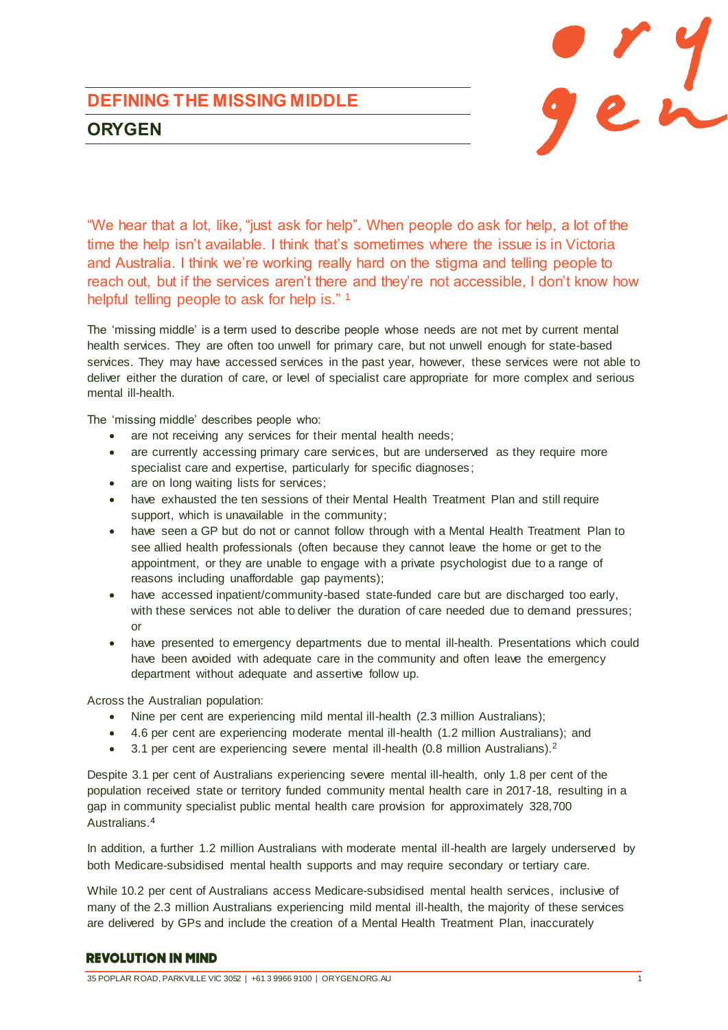# gen

# **DEFINING THE MISSING MIDDLE ORYGEN**

"We hear that a lot, like, "just ask for help". When people do ask for help, a lot of the time the help isn't available. I think that's sometimes where the issue is in Victoria and Australia. I think we're working really hard on the stigma and telling people to reach out, but if the services aren't there and they're not accessible, I don't know how helpful telling people to ask for help is." 1

The 'missing middle' is a term used to describe people whose needs are not met by current mental health services. They are often too unwell for primary care, but not unwell enough for state-based services. They may have accessed services in the past year, however, these services were not able to deliver either the duration of care, or level of specialist care appropriate for more complex and serious mental ill-health.

The 'missing middle' describes people who:

- are not receiving any services for their mental health needs;
- are currently accessing primary care services, but are underserved as they require more specialist care and expertise, particularly for specific diagnoses;
- are on long waiting lists for services;
- have exhausted the ten sessions of their Mental Health Treatment Plan and still require support, which is unavailable in the community;
- have seen a GP but do not or cannot follow through with a Mental Health Treatment Plan to see allied health professionals (often because they cannot leave the home or get to the appointment, or they are unable to engage with a private psychologist due to a range of reasons including unaffordable gap payments);
- have accessed inpatient/community-based state-funded care but are discharged too early, with these services not able to deliver the duration of care needed due to demand pressures; or
- have presented to emergency departments due to mental ill-health. Presentations which could have been avoided with adequate care in the community and often leave the emergency department without adequate and assertive follow up.

Across the Australian population:

- Nine per cent are experiencing mild mental ill-health (2.3 million Australians);
- 4.6 per cent are experiencing moderate mental ill-health (1.2 million Australians); and
- $\bullet$  3.1 per cent are experiencing severe mental ill-health (0.8 million Australians).<sup>2</sup>

Despite 3.1 per cent of Australians experiencing severe mental ill-health, only 1.8 per cent of the population received state or territory funded community mental health care in 2017-18, resulting in a gap in community specialist public mental health care provision for approximately 328,700 Australians. 4

In addition, a further 1.2 million Australians with moderate mental ill-health are largely underserved by both Medicare-subsidised mental health supports and may require secondary or tertiary care.

While 10.2 per cent of Australians access Medicare-subsidised mental health services, inclusive of many of the 2.3 million Australians experiencing mild mental ill-health, the majority of these services are delivered by GPs and include the creation of a Mental Health Treatment Plan, inaccurately

#### **REVOLUTION IN MIND**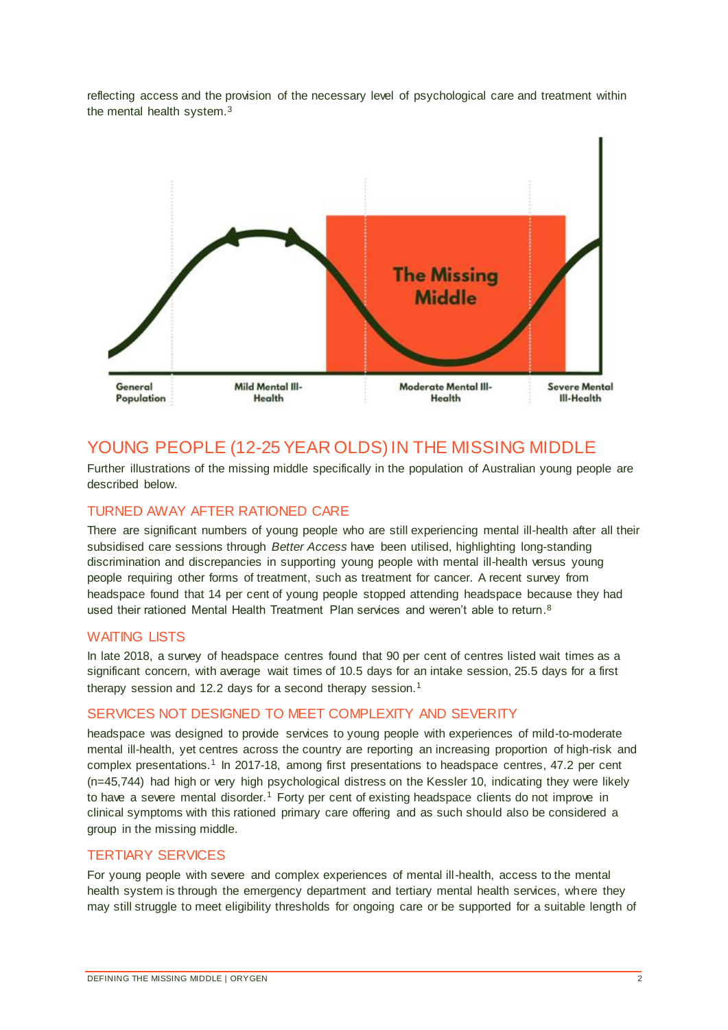reflecting access and the provision of the necessary level of psychological care and treatment within the mental health system.<sup>3</sup>



# YOUNG PEOPLE (12-25 YEAR OLDS) IN THE MISSING MIDDLE

Further illustrations of the missing middle specifically in the population of Australian young people are described below.

#### TURNED AWAY AFTER RATIONED CARE

There are significant numbers of young people who are still experiencing mental ill-health after all their subsidised care sessions through *Better Access* have been utilised, highlighting long-standing discrimination and discrepancies in supporting young people with mental ill-health versus young people requiring other forms of treatment, such as treatment for cancer. A recent survey from headspace found that 14 per cent of young people stopped attending headspace because they had used their rationed Mental Health Treatment Plan services and weren't able to return.<sup>8</sup>

#### WAITING LISTS

In late 2018, a survey of headspace centres found that 90 per cent of centres listed wait times as a significant concern, with average wait times of 10.5 days for an intake session, 25.5 days for a first therapy session and 12.2 days for a second therapy session.<sup>1</sup>

#### SERVICES NOT DESIGNED TO MEET COMPLEXITY AND SEVERITY

headspace was designed to provide services to young people with experiences of mild-to-moderate mental ill-health, yet centres across the country are reporting an increasing proportion of high-risk and complex presentations.<sup>1</sup> In 2017-18, among first presentations to headspace centres, 47.2 per cent (n=45,744) had high or very high psychological distress on the Kessler 10, indicating they were likely to have a severe mental disorder.<sup>1</sup> Forty per cent of existing headspace clients do not improve in clinical symptoms with this rationed primary care offering and as such should also be considered a group in the missing middle.

#### TERTIARY SERVICES

For young people with severe and complex experiences of mental ill-health, access to the mental health system is through the emergency department and tertiary mental health services, where they may still struggle to meet eligibility thresholds for ongoing care or be supported for a suitable length of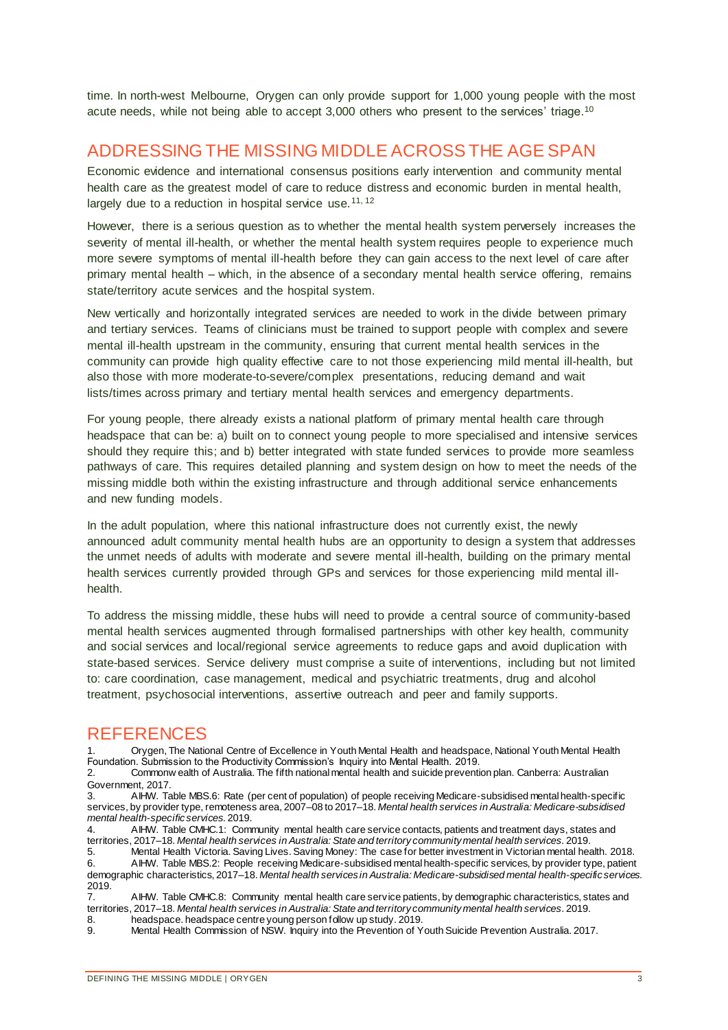time. In north-west Melbourne, Orygen can only provide support for 1,000 young people with the most acute needs, while not being able to accept 3,000 others who present to the services' triage.<sup>10</sup>

## ADDRESSING THE MISSING MIDDLE ACROSS THE AGE SPAN

Economic evidence and international consensus positions early intervention and community mental health care as the greatest model of care to reduce distress and economic burden in mental health, largely due to a reduction in hospital service use.  $11, 12$ 

However, there is a serious question as to whether the mental health system perversely increases the severity of mental ill-health, or whether the mental health system requires people to experience much more severe symptoms of mental ill-health before they can gain access to the next level of care after primary mental health – which, in the absence of a secondary mental health service offering, remains state/territory acute services and the hospital system.

New vertically and horizontally integrated services are needed to work in the divide between primary and tertiary services. Teams of clinicians must be trained to support people with complex and severe mental ill-health upstream in the community, ensuring that current mental health services in the community can provide high quality effective care to not those experiencing mild mental ill-health, but also those with more moderate-to-severe/complex presentations, reducing demand and wait lists/times across primary and tertiary mental health services and emergency departments.

For young people, there already exists a national platform of primary mental health care through headspace that can be: a) built on to connect young people to more specialised and intensive services should they require this; and b) better integrated with state funded services to provide more seamless pathways of care. This requires detailed planning and system design on how to meet the needs of the missing middle both within the existing infrastructure and through additional service enhancements and new funding models.

In the adult population, where this national infrastructure does not currently exist, the newly announced adult community mental health hubs are an opportunity to design a system that addresses the unmet needs of adults with moderate and severe mental ill-health, building on the primary mental health services currently provided through GPs and services for those experiencing mild mental illhealth.

To address the missing middle, these hubs will need to provide a central source of community-based mental health services augmented through formalised partnerships with other key health, community and social services and local/regional service agreements to reduce gaps and avoid duplication with state-based services. Service delivery must comprise a suite of interventions, including but not limited to: care coordination, case management, medical and psychiatric treatments, drug and alcohol treatment, psychosocial interventions, assertive outreach and peer and family supports.

### **REFERENCES**

1. Orygen, The National Centre of Excellence in Youth Mental Health and headspace, National Youth Mental Health Foundation. Submission to the Productivity Commission's Inquiry into Mental Health. 2019.

2. Commonw ealth of Australia. The fifth national mental health and suicide prevention plan. Canberra: Australian Government, 2017.<br>3. AIHW. Ta

3. AIHW. Table MBS.6: Rate (per cent of population) of people receiving Medicare-subsidised mental health-specific services, by provider type, remoteness area, 2007–08 to 2017–18. *Mental health services in Australia: Medicare-subsidised mental health-specific services*. 2019.

4. AIHW. Table CMHC.1: Community mental health care service contacts, patients and treatment days, states and territories, 2017–18. *Mental health services in Australia: State and territory community mental health services*. 2019.

5. Mental Health Victoria. Saving Lives. Saving Money: The case for better investment in Victorian mental health. 2018.<br>6. A IHW. Table MBS 2: People receiving Medicare-subsidised mental health-specific services, by provid 6. AIHW. Table MBS.2: People receiving Medicare-subsidised mental health-specific services, by provider type, patient demographic characteristics, 2017–18. *Mental health services in Australia: Medicare-subsidised mental health-specific services*.  $2019.  
7.$ 

7. AIHW. Table CMHC.8: Community mental health care service patients, by demographic characteristics, states and territories, 2017–18. *Mental health services in Australia: State and territory community mental health services*. 2019.

8. headspace. headspace centre young person follow up study. 2019.<br>9. Mental Health Commission of NSW. Inquiry into the Prevention of Y Mental Health Commission of NSW. Inquiry into the Prevention of Youth Suicide Prevention Australia. 2017.